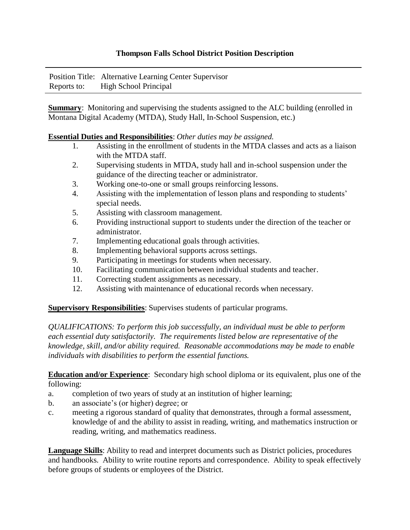## **Thompson Falls School District Position Description**

Position Title: Alternative Learning Center Supervisor Reports to: High School Principal

**Summary:** Monitoring and supervising the students assigned to the ALC building (enrolled in Montana Digital Academy (MTDA), Study Hall, In-School Suspension, etc.)

## **Essential Duties and Responsibilities**: *Other duties may be assigned.*

- 1. Assisting in the enrollment of students in the MTDA classes and acts as a liaison with the MTDA staff.
- 2. Supervising students in MTDA, study hall and in-school suspension under the guidance of the directing teacher or administrator.
- 3. Working one-to-one or small groups reinforcing lessons.
- 4. Assisting with the implementation of lesson plans and responding to students' special needs.
- 5. Assisting with classroom management.
- 6. Providing instructional support to students under the direction of the teacher or administrator.
- 7. Implementing educational goals through activities.
- 8. Implementing behavioral supports across settings.
- 9. Participating in meetings for students when necessary.
- 10. Facilitating communication between individual students and teacher.
- 11. Correcting student assignments as necessary.
- 12. Assisting with maintenance of educational records when necessary.

**Supervisory Responsibilities**: Supervises students of particular programs.

*QUALIFICATIONS: To perform this job successfully, an individual must be able to perform each essential duty satisfactorily. The requirements listed below are representative of the knowledge, skill, and/or ability required. Reasonable accommodations may be made to enable individuals with disabilities to perform the essential functions.* 

**Education and/or Experience**: Secondary high school diploma or its equivalent, plus one of the following:

- a. completion of two years of study at an institution of higher learning;
- b. an associate's (or higher) degree; or
- c. meeting a rigorous standard of quality that demonstrates, through a formal assessment, knowledge of and the ability to assist in reading, writing, and mathematics instruction or reading, writing, and mathematics readiness.

**Language Skills**: Ability to read and interpret documents such as District policies, procedures and handbooks. Ability to write routine reports and correspondence. Ability to speak effectively before groups of students or employees of the District.